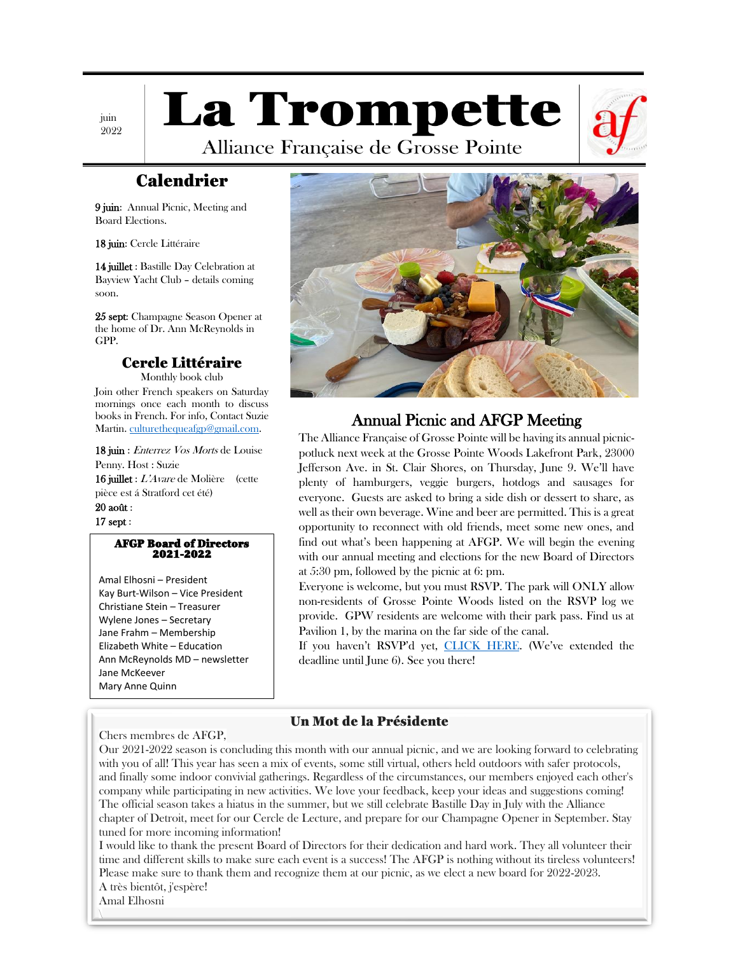juin 2022 **La Trompette** 



Alliance Française de Grosse Pointe

# Calendrier

9 juin: Annual Picnic, Meeting and Board Elections.

18 juin: Cercle Littéraire

14 juillet : Bastille Day Celebration at Bayview Yacht Club – details coming soon.

25 sept: Champagne Season Opener at the home of Dr. Ann McReynolds in GPP.

### Cercle Littéraire

Monthly book club Join other French speakers on Saturday mornings once each month to discuss books in French. For info, Contact Suzie Martin[. culturethequeafgp@gmail.com.](mailto:culturethequeafgp@gmail.com)

18 juin : Enterrez Vos Morts de Louise Penny. Host : Suzie 16 juillet : L'Avare de Molière (cette pièce est á Stratford cet été) 20 août :

17 sept :

#### AFGP Board of Directors 2021-2022

Amal Elhosni – President Kay Burt-Wilson – Vice President Christiane Stein – Treasurer Wylene Jones – Secretary Jane Frahm – Membership Elizabeth White – Education Ann McReynolds MD – newsletter Jane McKeever Mary Anne Quinn



### Annual Picnic and AFGP Meeting

The Alliance Française of Grosse Pointe will be having its annual picnicpotluck next week at the Grosse Pointe Woods Lakefront Park, 23000 Jefferson Ave. in St. Clair Shores, on Thursday, June 9. We'll have plenty of hamburgers, veggie burgers, hotdogs and sausages for everyone. Guests are asked to bring a side dish or dessert to share, as well as their own beverage. Wine and beer are permitted. This is a great opportunity to reconnect with old friends, meet some new ones, and find out what's been happening at AFGP. We will begin the evening with our annual meeting and elections for the new Board of Directors at 5:30 pm, followed by the picnic at 6: pm.

Everyone is welcome, but you must RSVP. The park will ONLY allow non-residents of Grosse Pointe Woods listed on the RSVP log we provide. GPW residents are welcome with their park pass. Find us at Pavilion 1, by the marina on the far side of the canal.

If you haven't RSVP'd yet, [CLICK HERE.](https://www.afdegrossepointe.org/images/AFGP-Picnic-flyer-2022.pdf) (We've extended the deadline until June 6). See you there!

### Un Mot de la Présidente

Chers membres de AFGP,

Our 2021-2022 season is concluding this month with our annual picnic, and we are looking forward to celebrating with you of all! This year has seen a mix of events, some still virtual, others held outdoors with safer protocols, and finally some indoor convivial gatherings. Regardless of the circumstances, our members enjoyed each other's company while participating in new activities. We love your feedback, keep your ideas and suggestions coming! The official season takes a hiatus in the summer, but we still celebrate Bastille Day in July with the Alliance chapter of Detroit, meet for our Cercle de Lecture, and prepare for our Champagne Opener in September. Stay tuned for more incoming information!

I would like to thank the present Board of Directors for their dedication and hard work. They all volunteer their time and different skills to make sure each event is a success! The AFGP is nothing without its tireless volunteers! Please make sure to thank them and recognize them at our picnic, as we elect a new board for 2022-2023. A très bientôt, j'espère!

Amal Elhosni  $\overline{\phantom{a}}$